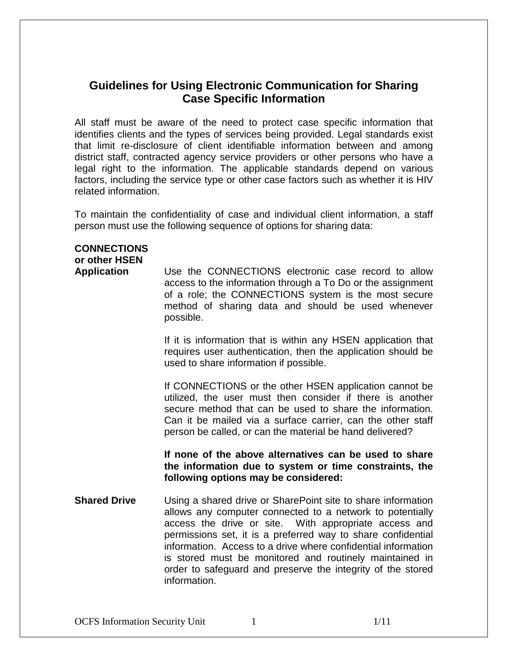# **Guidelines for Using Electronic Communication for Sharing Case Specific Information**

All staff must be aware of the need to protect case specific information that identifies clients and the types of services being provided. Legal standards exist that limit re-disclosure of client identifiable information between and among district staff, contracted agency service providers or other persons who have a legal right to the information. The applicable standards depend on various factors, including the service type or other case factors such as whether it is HIV related information.

To maintain the confidentiality of case and individual client information, a staff person must use the following sequence of options for sharing data:

## **CONNECTIONS**

**or other HSEN** 

**Application** Use the CONNECTIONS electronic case record to allow access to the information through a To Do or the assignment of a role; the CONNECTIONS system is the most secure method of sharing data and should be used whenever possible.

> If it is information that is within any HSEN application that requires user authentication, then the application should be used to share information if possible.

> If CONNECTIONS or the other HSEN application cannot be utilized, the user must then consider if there is another secure method that can be used to share the information. Can it be mailed via a surface carrier, can the other staff person be called, or can the material be hand delivered?

> **If none of the above alternatives can be used to share the information due to system or time constraints, the following options may be considered:**

**Shared Drive** Using a shared drive or SharePoint site to share information allows any computer connected to a network to potentially access the drive or site. With appropriate access and permissions set, it is a preferred way to share confidential information. Access to a drive where confidential information is stored must be monitored and routinely maintained in order to safeguard and preserve the integrity of the stored information.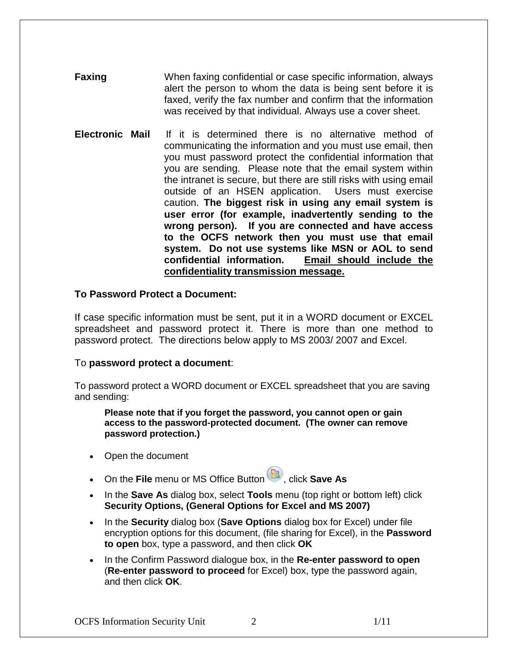**Faxing** When faxing confidential or case specific information, always alert the person to whom the data is being sent before it is faxed, verify the fax number and confirm that the information was received by that individual. Always use a cover sheet.

**Electronic Mail** If it is determined there is no alternative method of communicating the information and you must use email, then you must password protect the confidential information that you are sending. Please note that the email system within the intranet is secure, but there are still risks with using email outside of an HSEN application. Users must exercise caution. **The biggest risk in using any email system is user error (for example, inadvertently sending to the wrong person). If you are connected and have access to the OCFS network then you must use that email system. Do not use systems like MSN or AOL to send confidential information. Email should include the confidentiality transmission message.**

#### **To Password Protect a Document:**

If case specific information must be sent, put it in a WORD document or EXCEL spreadsheet and password protect it. There is more than one method to password protect. The directions below apply to MS 2003/ 2007 and Excel.

## To **password protect a document**:

To password protect a WORD document or EXCEL spreadsheet that you are saving and sending:

**Please note that if you forget the password, you cannot open or gain access to the password-protected document. (The owner can remove password protection.)**

- Open the document
- On the **File** menu or MS Office Button **B**, click **Save As**
- In the **Save As** dialog box, select **Tools** menu (top right or bottom left) click **Security Options, (General Options for Excel and MS 2007)**
- In the **Security** dialog box (**Save Options** dialog box for Excel) under file encryption options for this document, (file sharing for Excel), in the **Password to open** box, type a password, and then click **OK**
- In the Confirm Password dialogue box, in the **Re-enter password to open** (**Re-enter password to proceed** for Excel) box, type the password again, and then click **OK**.